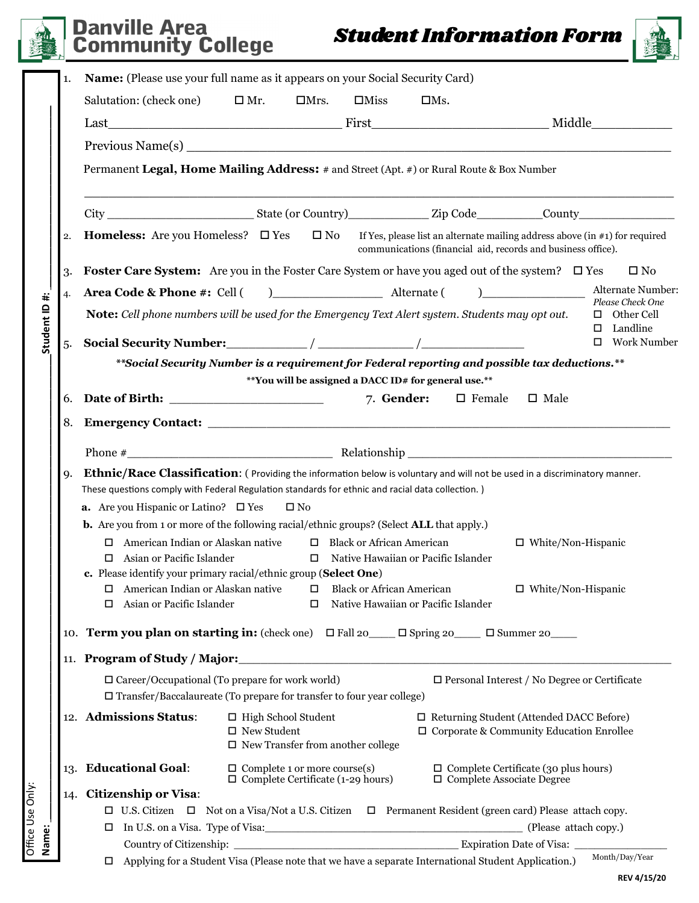Office Use Only:

Office Use Only:

## *Student Information Form* Danville Area **Community College**



|                                                                  | 1.                                                                                                                                | Name: (Please use your full name as it appears on your Social Security Card)                                                                                                                                     |                                                     |             |                                             |            |                                                                                                     |                                                             |  |  |  |  |
|------------------------------------------------------------------|-----------------------------------------------------------------------------------------------------------------------------------|------------------------------------------------------------------------------------------------------------------------------------------------------------------------------------------------------------------|-----------------------------------------------------|-------------|---------------------------------------------|------------|-----------------------------------------------------------------------------------------------------|-------------------------------------------------------------|--|--|--|--|
|                                                                  |                                                                                                                                   | Salutation: (check one)                                                                                                                                                                                          | $\square$ Mr.                                       | $\Box$ Mrs. | $\Box$ Miss                                 | $\Box$ Ms. |                                                                                                     |                                                             |  |  |  |  |
|                                                                  |                                                                                                                                   |                                                                                                                                                                                                                  |                                                     |             |                                             |            |                                                                                                     |                                                             |  |  |  |  |
|                                                                  |                                                                                                                                   |                                                                                                                                                                                                                  |                                                     |             |                                             |            |                                                                                                     |                                                             |  |  |  |  |
|                                                                  |                                                                                                                                   | Permanent Legal, Home Mailing Address: # and Street (Apt. #) or Rural Route & Box Number                                                                                                                         |                                                     |             |                                             |            |                                                                                                     |                                                             |  |  |  |  |
|                                                                  |                                                                                                                                   |                                                                                                                                                                                                                  |                                                     |             |                                             |            |                                                                                                     |                                                             |  |  |  |  |
|                                                                  |                                                                                                                                   |                                                                                                                                                                                                                  |                                                     |             |                                             |            |                                                                                                     |                                                             |  |  |  |  |
|                                                                  | $\overline{2}$                                                                                                                    | <b>Homeless:</b> Are you Homeless? $\square$ Yes $\square$ No<br>If Yes, please list an alternate mailing address above (in $\#$ 1) for required<br>communications (financial aid, records and business office). |                                                     |             |                                             |            |                                                                                                     |                                                             |  |  |  |  |
|                                                                  | <b>Foster Care System:</b> Are you in the Foster Care System or have you aged out of the system? $\Box$ Yes<br>$\square$ No<br>3. |                                                                                                                                                                                                                  |                                                     |             |                                             |            |                                                                                                     |                                                             |  |  |  |  |
|                                                                  | $\overline{4}$                                                                                                                    |                                                                                                                                                                                                                  |                                                     |             |                                             |            | $\begin{tabular}{ c c c c } \hline \quad \quad & \quad \quad & \quad \quad \\ \hline \end{tabular}$ | Alternate Number:                                           |  |  |  |  |
| Student ID#:                                                     |                                                                                                                                   | Note: Cell phone numbers will be used for the Emergency Text Alert system. Students may opt out.                                                                                                                 |                                                     |             |                                             |            |                                                                                                     | Please Check One<br>$\Box$ Other Cell<br>Landline<br>$\Box$ |  |  |  |  |
|                                                                  | 5.                                                                                                                                |                                                                                                                                                                                                                  |                                                     |             |                                             |            |                                                                                                     | □ Work Number                                               |  |  |  |  |
|                                                                  |                                                                                                                                   | **Social Security Number is a requirement for Federal reporting and possible tax deductions.**                                                                                                                   |                                                     |             |                                             |            |                                                                                                     |                                                             |  |  |  |  |
|                                                                  |                                                                                                                                   | **You will be assigned a DACC ID# for general use.**                                                                                                                                                             |                                                     |             |                                             |            |                                                                                                     |                                                             |  |  |  |  |
|                                                                  | 6.                                                                                                                                |                                                                                                                                                                                                                  |                                                     |             | 7. Gender:                                  |            | $\Box$ Female<br>$\square$ Male                                                                     |                                                             |  |  |  |  |
|                                                                  | 8.                                                                                                                                |                                                                                                                                                                                                                  |                                                     |             |                                             |            |                                                                                                     |                                                             |  |  |  |  |
|                                                                  |                                                                                                                                   |                                                                                                                                                                                                                  |                                                     |             |                                             |            |                                                                                                     |                                                             |  |  |  |  |
|                                                                  | <b>q.</b>                                                                                                                         | Ethnic/Race Classification: (Providing the information below is voluntary and will not be used in a discriminatory manner.                                                                                       |                                                     |             |                                             |            |                                                                                                     |                                                             |  |  |  |  |
|                                                                  |                                                                                                                                   | These questions comply with Federal Regulation standards for ethnic and racial data collection.)                                                                                                                 |                                                     |             |                                             |            |                                                                                                     |                                                             |  |  |  |  |
|                                                                  |                                                                                                                                   | <b>a.</b> Are you Hispanic or Latino? $\Box$ Yes<br>$\square$ No                                                                                                                                                 |                                                     |             |                                             |            |                                                                                                     |                                                             |  |  |  |  |
|                                                                  |                                                                                                                                   | <b>b.</b> Are you from 1 or more of the following racial/ethnic groups? (Select <b>ALL</b> that apply.)                                                                                                          |                                                     |             |                                             |            |                                                                                                     |                                                             |  |  |  |  |
|                                                                  | $\Box$ American Indian or Alaskan native<br>□ Black or African American<br>$\Box$ White/Non-Hispanic                              |                                                                                                                                                                                                                  |                                                     |             |                                             |            |                                                                                                     |                                                             |  |  |  |  |
|                                                                  |                                                                                                                                   | Asian or Pacific Islander<br>$\Box$ Native Hawaiian or Pacific Islander<br>0.                                                                                                                                    |                                                     |             |                                             |            |                                                                                                     |                                                             |  |  |  |  |
| c. Please identify your primary racial/ethnic group (Select One) |                                                                                                                                   |                                                                                                                                                                                                                  |                                                     |             |                                             |            |                                                                                                     |                                                             |  |  |  |  |
|                                                                  |                                                                                                                                   | $\Box$ American Indian or Alaskan native                                                                                                                                                                         |                                                     | $\Box$      | <b>Black or African American</b>            |            | $\Box$ White/Non-Hispanic                                                                           |                                                             |  |  |  |  |
|                                                                  |                                                                                                                                   | Asian or Pacific Islander<br>$\Box$                                                                                                                                                                              |                                                     | $\Box$      | Native Hawaiian or Pacific Islander         |            |                                                                                                     |                                                             |  |  |  |  |
|                                                                  |                                                                                                                                   | 10. <b>Term you plan on starting in:</b> (check one) $\Box$ Fall 20 $\Box$ Spring 20 $\Box$ Summer 20                                                                                                            |                                                     |             |                                             |            |                                                                                                     |                                                             |  |  |  |  |
|                                                                  |                                                                                                                                   | 11. Program of Study / Major:                                                                                                                                                                                    |                                                     |             |                                             |            |                                                                                                     |                                                             |  |  |  |  |
|                                                                  |                                                                                                                                   | $\Box$ Career/Occupational (To prepare for work world)<br>$\square$ Personal Interest / No Degree or Certificate                                                                                                 |                                                     |             |                                             |            |                                                                                                     |                                                             |  |  |  |  |
|                                                                  | $\square$ Transfer/Baccalaureate (To prepare for transfer to four year college)                                                   |                                                                                                                                                                                                                  |                                                     |             |                                             |            |                                                                                                     |                                                             |  |  |  |  |
|                                                                  |                                                                                                                                   | 12. Admissions Status:                                                                                                                                                                                           | $\Box$ High School Student<br>$\square$ New Student |             | $\square$ New Transfer from another college |            | $\Box$ Returning Student (Attended DACC Before)<br>$\Box$ Corporate & Community Education Enrollee  |                                                             |  |  |  |  |
|                                                                  |                                                                                                                                   | <b>Educational Goal:</b>                                                                                                                                                                                         | $\Box$ Complete 1 or more course(s)                 |             | $\Box$ Complete Certificate (1-29 hours)    |            | $\square$ Complete Certificate (30 plus hours)<br>$\square$ Complete Associate Degree               |                                                             |  |  |  |  |
|                                                                  | 14.                                                                                                                               | <b>Citizenship or Visa:</b>                                                                                                                                                                                      |                                                     |             |                                             |            |                                                                                                     |                                                             |  |  |  |  |
|                                                                  |                                                                                                                                   | $\Box$ U.S. Citizen $\Box$ Not on a Visa/Not a U.S. Citizen $\Box$ Permanent Resident (green card) Please attach copy.                                                                                           |                                                     |             |                                             |            |                                                                                                     |                                                             |  |  |  |  |
|                                                                  |                                                                                                                                   | □ In U.S. on a Visa. Type of Visa:<br>□ In U.S. on a Visa. Type of Visa:<br>□ (Please attach copy.)                                                                                                              |                                                     |             |                                             |            |                                                                                                     |                                                             |  |  |  |  |
| Name:                                                            |                                                                                                                                   |                                                                                                                                                                                                                  |                                                     |             |                                             |            |                                                                                                     |                                                             |  |  |  |  |
|                                                                  |                                                                                                                                   | Applying for a Student Visa (Please note that we have a separate International Student Application.)<br>$\Box$                                                                                                   |                                                     |             |                                             |            |                                                                                                     | Month/Day/Year                                              |  |  |  |  |